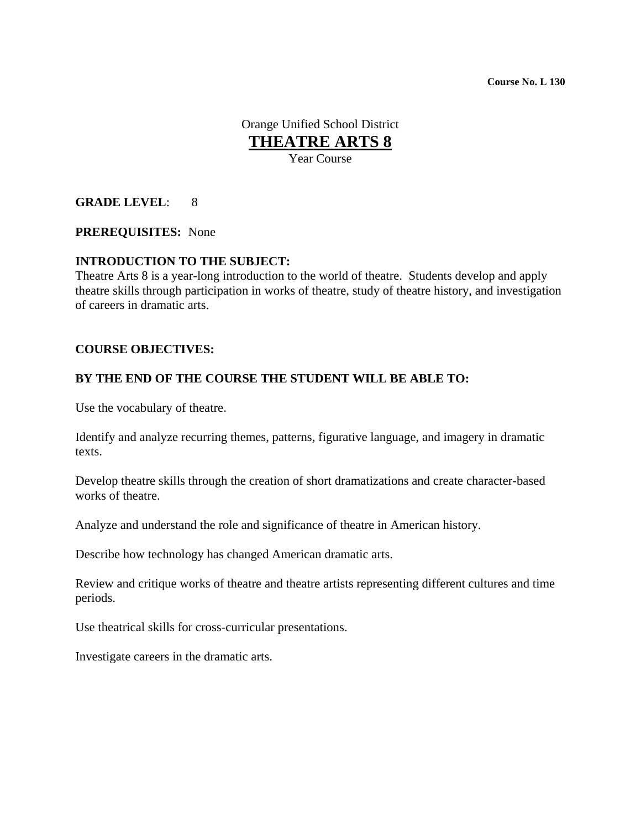**Course No. L 130**

Orange Unified School District **THEATRE ARTS 8** Year Course

#### **GRADE LEVEL**: 8

#### **PREREQUISITES:** None

#### **INTRODUCTION TO THE SUBJECT:**

Theatre Arts 8 is a year-long introduction to the world of theatre. Students develop and apply theatre skills through participation in works of theatre, study of theatre history, and investigation of careers in dramatic arts.

#### **COURSE OBJECTIVES:**

#### **BY THE END OF THE COURSE THE STUDENT WILL BE ABLE TO:**

Use the vocabulary of theatre.

Identify and analyze recurring themes, patterns, figurative language, and imagery in dramatic texts.

Develop theatre skills through the creation of short dramatizations and create character-based works of theatre.

Analyze and understand the role and significance of theatre in American history.

Describe how technology has changed American dramatic arts.

Review and critique works of theatre and theatre artists representing different cultures and time periods.

Use theatrical skills for cross-curricular presentations.

Investigate careers in the dramatic arts.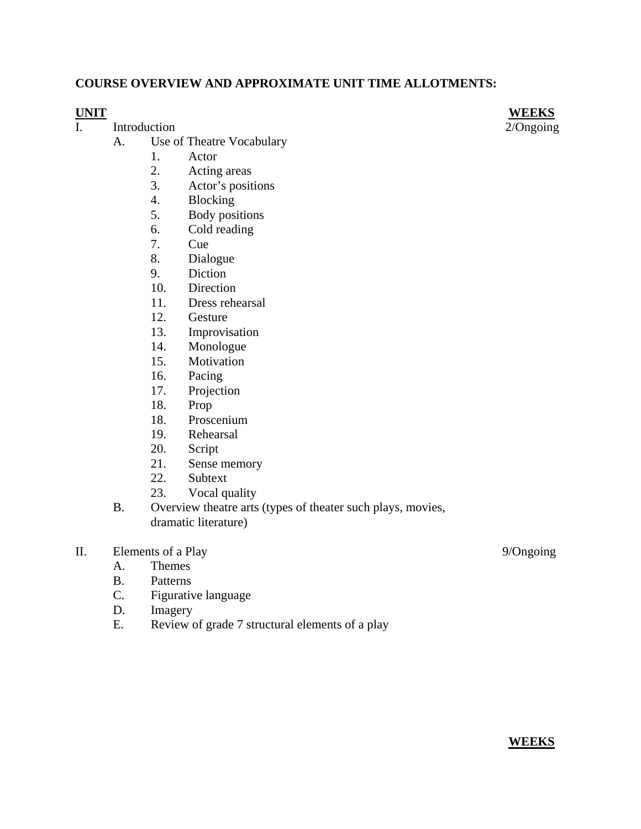## **COURSE OVERVIEW AND APPROXIMATE UNIT TIME ALLOTMENTS:**

- I.Introduction 2/Ongoing
	- A. Use of Theatre Vocabulary
		- 1. Actor
		- 2. Acting areas
		- 3. Actor's positions
		- 4. Blocking
		- 5. Body positions
		- 6. Cold reading
		- 7. Cue
		- 8. Dialogue
		- 9. Diction
		- 10. Direction
		- 11. Dress rehearsal
		- 12. Gesture
		- 13. Improvisation
		- 14. Monologue
		- 15. Motivation
		- 16. Pacing
		- 17. Projection
		- 18. Prop
		- 18. Proscenium
		- 19. Rehearsal
		- 20. Script
		- 21. Sense memory
		- 22. Subtext
		- 23. Vocal quality
	- B. Overview theatre arts (types of theater such plays, movies, dramatic literature)
- II. Elements of a Play 9/Ongoing
	- A. Themes
	- B. Patterns
	- C. Figurative language
	- D. Imagery
	- E. Review of grade 7 structural elements of a play

**UNIT WEEKS**

**WEEKS**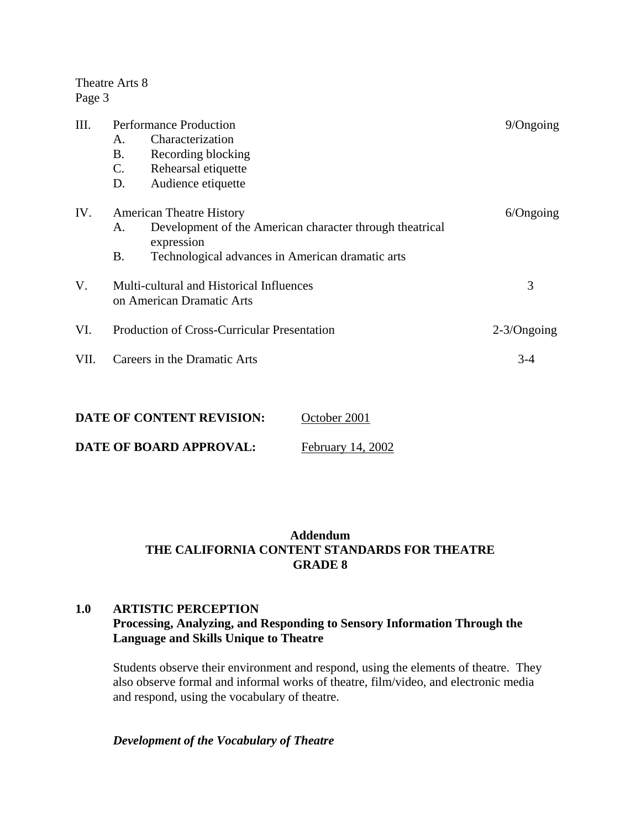Theatre Arts 8 Page 3

| Ш.   | <b>Performance Production</b>                      |                                                                        | $9$ /Ongoing   |
|------|----------------------------------------------------|------------------------------------------------------------------------|----------------|
|      | A.                                                 | Characterization                                                       |                |
|      | <b>B.</b>                                          | Recording blocking                                                     |                |
|      | $\mathsf{C}$ .                                     | Rehearsal etiquette                                                    |                |
|      | D.                                                 | Audience etiquette                                                     |                |
| IV.  | <b>American Theatre History</b>                    |                                                                        | $6$ /Ongoing   |
|      | A.                                                 | Development of the American character through theatrical<br>expression |                |
|      | <b>B.</b>                                          | Technological advances in American dramatic arts                       |                |
| V.   | Multi-cultural and Historical Influences           |                                                                        | 3              |
|      | on American Dramatic Arts                          |                                                                        |                |
| VI.  | <b>Production of Cross-Curricular Presentation</b> |                                                                        | $2-3$ /Ongoing |
| VII. | Careers in the Dramatic Arts                       |                                                                        | $3-4$          |
|      |                                                    |                                                                        |                |

| DATE OF CONTENT REVISION: | October 2001      |
|---------------------------|-------------------|
| DATE OF BOARD APPROVAL:   | February 14, 2002 |

## **Addendum THE CALIFORNIA CONTENT STANDARDS FOR THEATRE GRADE 8**

## **1.0 ARTISTIC PERCEPTION Processing, Analyzing, and Responding to Sensory Information Through the Language and Skills Unique to Theatre**

Students observe their environment and respond, using the elements of theatre. They also observe formal and informal works of theatre, film/video, and electronic media and respond, using the vocabulary of theatre.

## *Development of the Vocabulary of Theatre*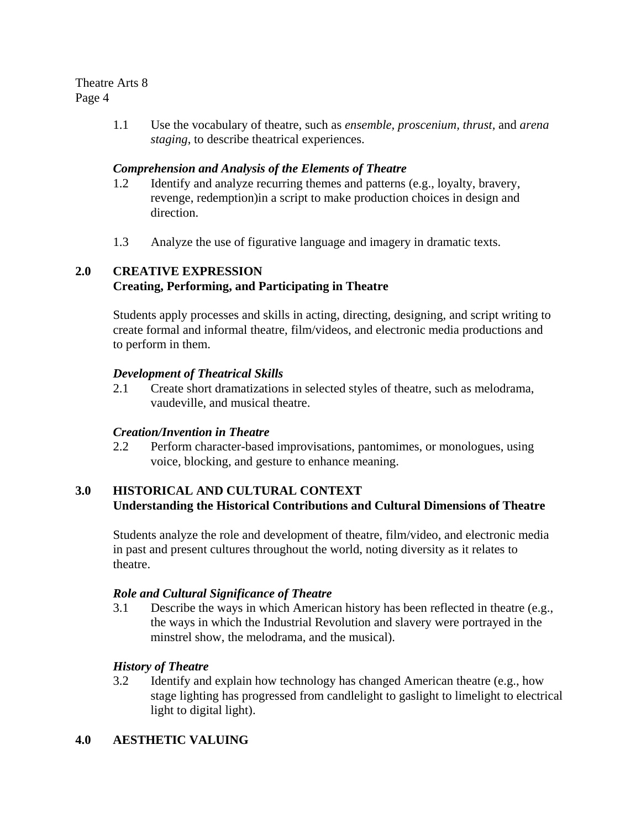#### Theatre Arts 8 Page 4

1.1 Use the vocabulary of theatre, such as *ensemble, proscenium, thrust,* and *arena staging*, to describe theatrical experiences.

## *Comprehension and Analysis of the Elements of Theatre*

- 1.2 Identify and analyze recurring themes and patterns (e.g., loyalty, bravery, revenge, redemption)in a script to make production choices in design and direction.
- 1.3 Analyze the use of figurative language and imagery in dramatic texts.

# **2.0 CREATIVE EXPRESSION Creating, Performing, and Participating in Theatre**

Students apply processes and skills in acting, directing, designing, and script writing to create formal and informal theatre, film/videos, and electronic media productions and to perform in them.

## *Development of Theatrical Skills*

2.1 Create short dramatizations in selected styles of theatre, such as melodrama, vaudeville, and musical theatre.

## *Creation/Invention in Theatre*

2.2 Perform character-based improvisations, pantomimes, or monologues, using voice, blocking, and gesture to enhance meaning.

## **3.0 HISTORICAL AND CULTURAL CONTEXT Understanding the Historical Contributions and Cultural Dimensions of Theatre**

Students analyze the role and development of theatre, film/video, and electronic media in past and present cultures throughout the world, noting diversity as it relates to theatre.

## *Role and Cultural Significance of Theatre*

3.1 Describe the ways in which American history has been reflected in theatre (e.g., the ways in which the Industrial Revolution and slavery were portrayed in the minstrel show, the melodrama, and the musical).

## *History of Theatre*

3.2 Identify and explain how technology has changed American theatre (e.g., how stage lighting has progressed from candlelight to gaslight to limelight to electrical light to digital light).

# **4.0 AESTHETIC VALUING**